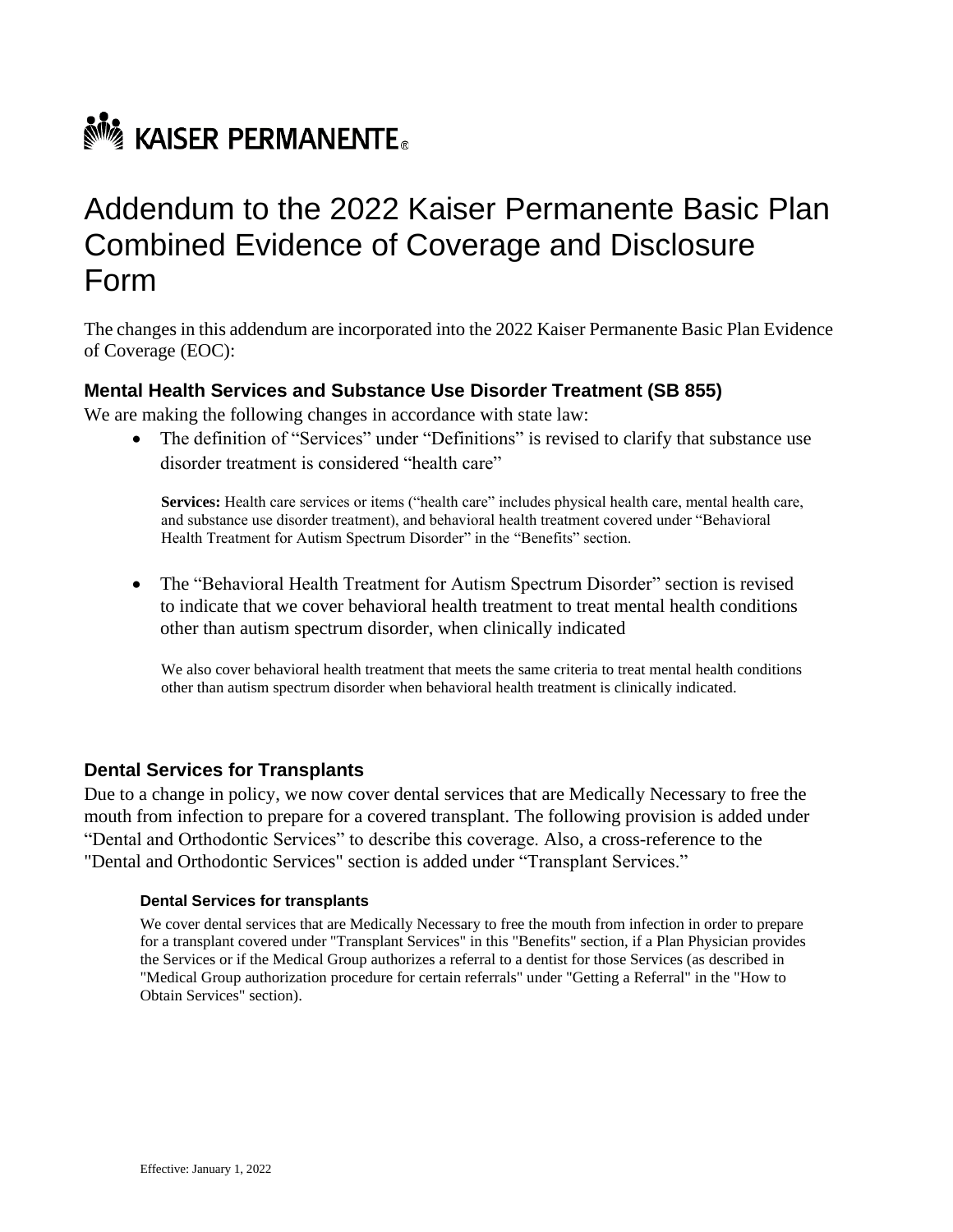# **No. KAISER PERMANENTE.**

# Addendum to the 2022 Kaiser Permanente Basic Plan Combined Evidence of Coverage and Disclosure Form

The changes in this addendum are incorporated into the 2022 Kaiser Permanente Basic Plan Evidence of Coverage (EOC):

# **Mental Health Services and Substance Use Disorder Treatment (SB 855)**

We are making the following changes in accordance with state law:

• The definition of "Services" under "Definitions" is revised to clarify that substance use disorder treatment is considered "health care"

**Services:** Health care services or items ("health care" includes physical health care, mental health care, and substance use disorder treatment), and behavioral health treatment covered under "Behavioral Health Treatment for Autism Spectrum Disorder" in the "Benefits" section.

• The "Behavioral Health Treatment for Autism Spectrum Disorder" section is revised to indicate that we cover behavioral health treatment to treat mental health conditions other than autism spectrum disorder, when clinically indicated

We also cover behavioral health treatment that meets the same criteria to treat mental health conditions other than autism spectrum disorder when behavioral health treatment is clinically indicated.

### **Dental Services for Transplants**

Due to a change in policy, we now cover dental services that are Medically Necessary to free the mouth from infection to prepare for a covered transplant. The following provision is added under "Dental and Orthodontic Services" to describe this coverage. Also, a cross-reference to the "Dental and Orthodontic Services" section is added under "Transplant Services."

#### **Dental Services for transplants**

We cover dental services that are Medically Necessary to free the mouth from infection in order to prepare for a transplant covered under "Transplant Services" in this "Benefits" section, if a Plan Physician provides the Services or if the Medical Group authorizes a referral to a dentist for those Services (as described in "Medical Group authorization procedure for certain referrals" under "Getting a Referral" in the "How to Obtain Services" section).